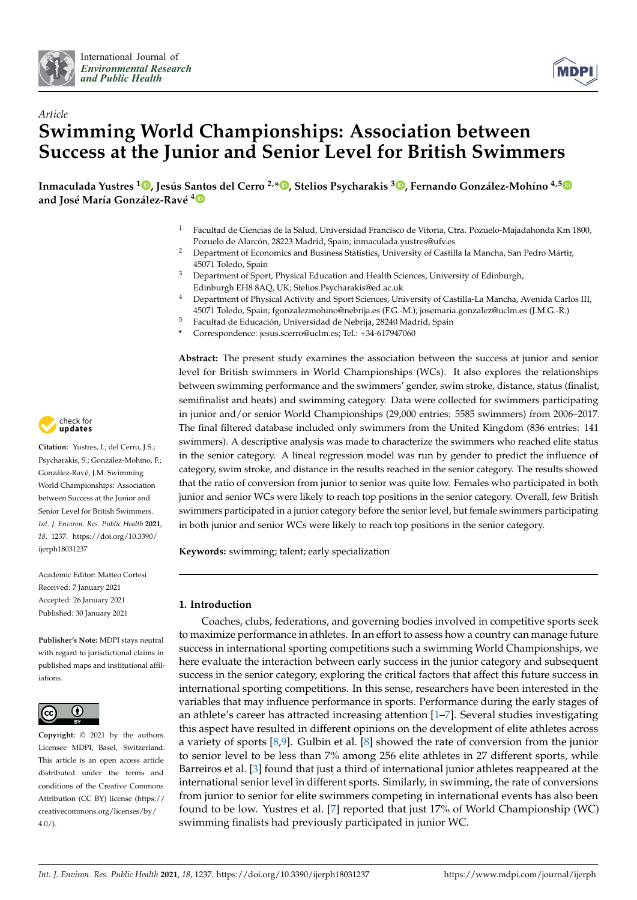



# *Article* **Swimming World Championships: Association between Success at the Junior and Senior Level for British Swimmers**

Inmaculada Yustres <sup>1</sup>. Jesús Santos del Cerro <sup>2[,](https://orcid.org/0000-0003-2138-0930)</sup>[\\*](https://orcid.org/0000-0002-1384-6334)\* , Stelios Psycharakis <sup>3.</sup> , Fernando González-Mohíno <sup>4,[5](https://orcid.org/0000-0002-6327-6958)</sup> **and José María González-Ravé 4**

- <sup>1</sup> Facultad de Ciencias de la Salud, Universidad Francisco de Vitoria, Ctra. Pozuelo-Majadahonda Km 1800, Pozuelo de Alarcón, 28223 Madrid, Spain; inmaculada.yustres@ufv.es
- <sup>2</sup> Department of Economics and Business Statistics, University of Castilla la Mancha, San Pedro Mártir, 45071 Toledo, Spain
- <sup>3</sup> Department of Sport, Physical Education and Health Sciences, University of Edinburgh, Edinburgh EH8 8AQ, UK; Stelios.Psycharakis@ed.ac.uk
- <sup>4</sup> Department of Physical Activity and Sport Sciences, University of Castilla-La Mancha, Avenida Carlos III, 45071 Toledo, Spain; fgonzalezmohino@nebrija.es (F.G.-M.); josemaria.gonzalez@uclm.es (J.M.G.-R.)
- <sup>5</sup> Facultad de Educación, Universidad de Nebrija, 28240 Madrid, Spain
- **\*** Correspondence: jesus.scerro@uclm.es; Tel.: +34-617947060

**Abstract:** The present study examines the association between the success at junior and senior level for British swimmers in World Championships (WCs). It also explores the relationships between swimming performance and the swimmers' gender, swim stroke, distance, status (finalist, semifinalist and heats) and swimming category. Data were collected for swimmers participating in junior and/or senior World Championships (29,000 entries: 5585 swimmers) from 2006–2017. The final filtered database included only swimmers from the United Kingdom (836 entries: 141 swimmers). A descriptive analysis was made to characterize the swimmers who reached elite status in the senior category. A lineal regression model was run by gender to predict the influence of category, swim stroke, and distance in the results reached in the senior category. The results showed that the ratio of conversion from junior to senior was quite low. Females who participated in both junior and senior WCs were likely to reach top positions in the senior category. Overall, few British swimmers participated in a junior category before the senior level, but female swimmers participating in both junior and senior WCs were likely to reach top positions in the senior category.

**Keywords:** swimming; talent; early specialization

# **1. Introduction**

Coaches, clubs, federations, and governing bodies involved in competitive sports seek to maximize performance in athletes. In an effort to assess how a country can manage future success in international sporting competitions such a swimming World Championships, we here evaluate the interaction between early success in the junior category and subsequent success in the senior category, exploring the critical factors that affect this future success in international sporting competitions. In this sense, researchers have been interested in the variables that may influence performance in sports. Performance during the early stages of an athlete's career has attracted increasing attention [\[1–](#page-6-0)[7\]](#page-6-1). Several studies investigating this aspect have resulted in different opinions on the development of elite athletes across a variety of sports [\[8](#page-6-2)[,9\]](#page-6-3). Gulbin et al. [\[8\]](#page-6-2) showed the rate of conversion from the junior to senior level to be less than 7% among 256 elite athletes in 27 different sports, while Barreiros et al. [\[3\]](#page-6-4) found that just a third of international junior athletes reappeared at the international senior level in different sports. Similarly, in swimming, the rate of conversions from junior to senior for elite swimmers competing in international events has also been found to be low. Yustres et al. [\[7\]](#page-6-1) reported that just 17% of World Championship (WC) swimming finalists had previously participated in junior WC.



**Citation:** Yustres, I.; del Cerro, J.S.; Psycharakis, S.; González-Mohíno, F.; González-Ravé, J.M. Swimming World Championships: Association between Success at the Junior and Senior Level for British Swimmers. *Int. J. Environ. Res. Public Health* **2021**, *18*, 1237. [https://doi.org/10.3390/](https://doi.org/10.3390/ijerph18031237) [ijerph18031237](https://doi.org/10.3390/ijerph18031237)

Academic Editor: Matteo Cortesi Received: 7 January 2021 Accepted: 26 January 2021 Published: 30 January 2021

**Publisher's Note:** MDPI stays neutral with regard to jurisdictional claims in published maps and institutional affiliations.



**Copyright:** © 2021 by the authors. Licensee MDPI, Basel, Switzerland. This article is an open access article distributed under the terms and conditions of the Creative Commons Attribution (CC BY) license (https:/[/](https://creativecommons.org/licenses/by/4.0/) [creativecommons.org/licenses/by/](https://creativecommons.org/licenses/by/4.0/)  $4.0/$ ).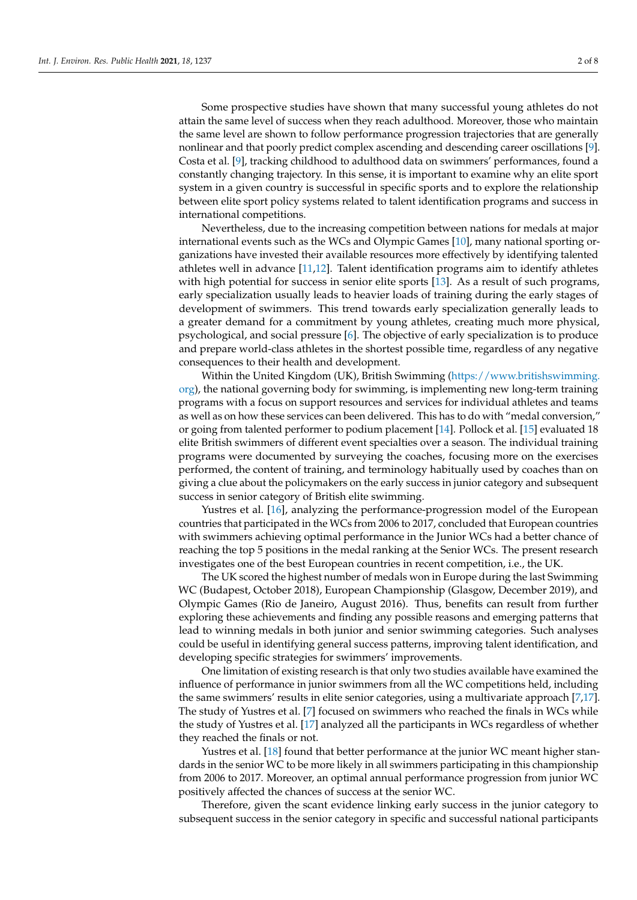Some prospective studies have shown that many successful young athletes do not attain the same level of success when they reach adulthood. Moreover, those who maintain the same level are shown to follow performance progression trajectories that are generally nonlinear and that poorly predict complex ascending and descending career oscillations [\[9\]](#page-6-3). Costa et al. [\[9\]](#page-6-3), tracking childhood to adulthood data on swimmers' performances, found a constantly changing trajectory. In this sense, it is important to examine why an elite sport system in a given country is successful in specific sports and to explore the relationship between elite sport policy systems related to talent identification programs and success in international competitions.

Nevertheless, due to the increasing competition between nations for medals at major international events such as the WCs and Olympic Games [\[10\]](#page-6-5), many national sporting organizations have invested their available resources more effectively by identifying talented athletes well in advance [\[11](#page-6-6)[,12\]](#page-6-7). Talent identification programs aim to identify athletes with high potential for success in senior elite sports [\[13\]](#page-6-8). As a result of such programs, early specialization usually leads to heavier loads of training during the early stages of development of swimmers. This trend towards early specialization generally leads to a greater demand for a commitment by young athletes, creating much more physical, psychological, and social pressure [\[6\]](#page-6-9). The objective of early specialization is to produce and prepare world-class athletes in the shortest possible time, regardless of any negative consequences to their health and development.

Within the United Kingdom (UK), British Swimming [\(https://www.britishswimming.](https://www.britishswimming.org) [org\)](https://www.britishswimming.org), the national governing body for swimming, is implementing new long-term training programs with a focus on support resources and services for individual athletes and teams as well as on how these services can been delivered. This has to do with "medal conversion," or going from talented performer to podium placement [\[14\]](#page-6-10). Pollock et al. [\[15\]](#page-6-11) evaluated 18 elite British swimmers of different event specialties over a season. The individual training programs were documented by surveying the coaches, focusing more on the exercises performed, the content of training, and terminology habitually used by coaches than on giving a clue about the policymakers on the early success in junior category and subsequent success in senior category of British elite swimming.

Yustres et al. [\[16\]](#page-6-12), analyzing the performance-progression model of the European countries that participated in the WCs from 2006 to 2017, concluded that European countries with swimmers achieving optimal performance in the Junior WCs had a better chance of reaching the top 5 positions in the medal ranking at the Senior WCs. The present research investigates one of the best European countries in recent competition, i.e., the UK.

The UK scored the highest number of medals won in Europe during the last Swimming WC (Budapest, October 2018), European Championship (Glasgow, December 2019), and Olympic Games (Rio de Janeiro, August 2016). Thus, benefits can result from further exploring these achievements and finding any possible reasons and emerging patterns that lead to winning medals in both junior and senior swimming categories. Such analyses could be useful in identifying general success patterns, improving talent identification, and developing specific strategies for swimmers' improvements.

One limitation of existing research is that only two studies available have examined the influence of performance in junior swimmers from all the WC competitions held, including the same swimmers' results in elite senior categories, using a multivariate approach [\[7](#page-6-1)[,17\]](#page-7-0). The study of Yustres et al. [\[7\]](#page-6-1) focused on swimmers who reached the finals in WCs while the study of Yustres et al. [\[17\]](#page-7-0) analyzed all the participants in WCs regardless of whether they reached the finals or not.

Yustres et al. [\[18\]](#page-7-1) found that better performance at the junior WC meant higher standards in the senior WC to be more likely in all swimmers participating in this championship from 2006 to 2017. Moreover, an optimal annual performance progression from junior WC positively affected the chances of success at the senior WC.

Therefore, given the scant evidence linking early success in the junior category to subsequent success in the senior category in specific and successful national participants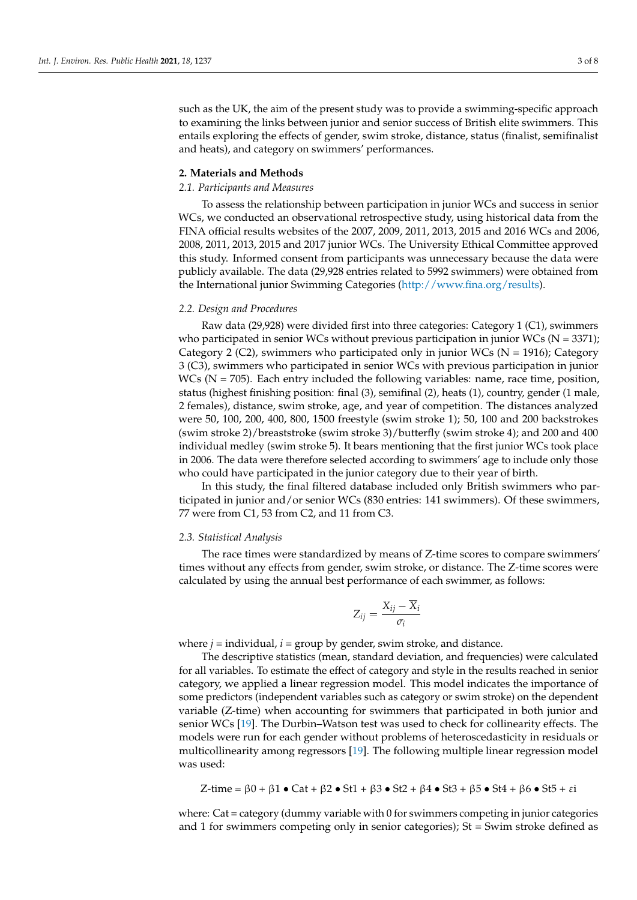such as the UK, the aim of the present study was to provide a swimming-specific approach to examining the links between junior and senior success of British elite swimmers. This entails exploring the effects of gender, swim stroke, distance, status (finalist, semifinalist and heats), and category on swimmers' performances.

# **2. Materials and Methods**

#### *2.1. Participants and Measures*

To assess the relationship between participation in junior WCs and success in senior WCs, we conducted an observational retrospective study, using historical data from the FINA official results websites of the 2007, 2009, 2011, 2013, 2015 and 2016 WCs and 2006, 2008, 2011, 2013, 2015 and 2017 junior WCs. The University Ethical Committee approved this study. Informed consent from participants was unnecessary because the data were publicly available. The data (29,928 entries related to 5992 swimmers) were obtained from the International junior Swimming Categories [\(http://www.fina.org/results\)](http://www.fina.org/results).

## *2.2. Design and Procedures*

Raw data (29,928) were divided first into three categories: Category 1 (C1), swimmers who participated in senior WCs without previous participation in junior WCs ( $N = 3371$ ); Category 2 (C2), swimmers who participated only in junior WCs ( $N = 1916$ ); Category 3 (C3), swimmers who participated in senior WCs with previous participation in junior  $WCs$  ( $N = 705$ ). Each entry included the following variables: name, race time, position, status (highest finishing position: final (3), semifinal (2), heats (1), country, gender (1 male, 2 females), distance, swim stroke, age, and year of competition. The distances analyzed were 50, 100, 200, 400, 800, 1500 freestyle (swim stroke 1); 50, 100 and 200 backstrokes (swim stroke 2)/breaststroke (swim stroke 3)/butterfly (swim stroke 4); and 200 and 400 individual medley (swim stroke 5). It bears mentioning that the first junior WCs took place in 2006. The data were therefore selected according to swimmers' age to include only those who could have participated in the junior category due to their year of birth.

In this study, the final filtered database included only British swimmers who participated in junior and/or senior WCs (830 entries: 141 swimmers). Of these swimmers, 77 were from C1, 53 from C2, and 11 from C3.

# *2.3. Statistical Analysis*

The race times were standardized by means of Z-time scores to compare swimmers' times without any effects from gender, swim stroke, or distance. The Z-time scores were calculated by using the annual best performance of each swimmer, as follows:

$$
Z_{ij} = \frac{X_{ij} - \overline{X}_i}{\sigma_i}
$$

where  $j$  = individual,  $i$  = group by gender, swim stroke, and distance.

The descriptive statistics (mean, standard deviation, and frequencies) were calculated for all variables. To estimate the effect of category and style in the results reached in senior category, we applied a linear regression model. This model indicates the importance of some predictors (independent variables such as category or swim stroke) on the dependent variable (Z-time) when accounting for swimmers that participated in both junior and senior WCs [\[19\]](#page-7-2). The Durbin–Watson test was used to check for collinearity effects. The models were run for each gender without problems of heteroscedasticity in residuals or multicollinearity among regressors [\[19\]](#page-7-2). The following multiple linear regression model was used:

$$
Z\textrm{-time} = \beta 0 + \beta 1 \bullet \textrm{Cat} + \beta 2 \bullet \textrm{St}1 + \beta 3 \bullet \textrm{St}2 + \beta 4 \bullet \textrm{St}3 + \beta 5 \bullet \textrm{St}4 + \beta 6 \bullet \textrm{St}5 + \epsilon i
$$

where: Cat = category (dummy variable with 0 for swimmers competing in junior categories and 1 for swimmers competing only in senior categories); St = Swim stroke defined as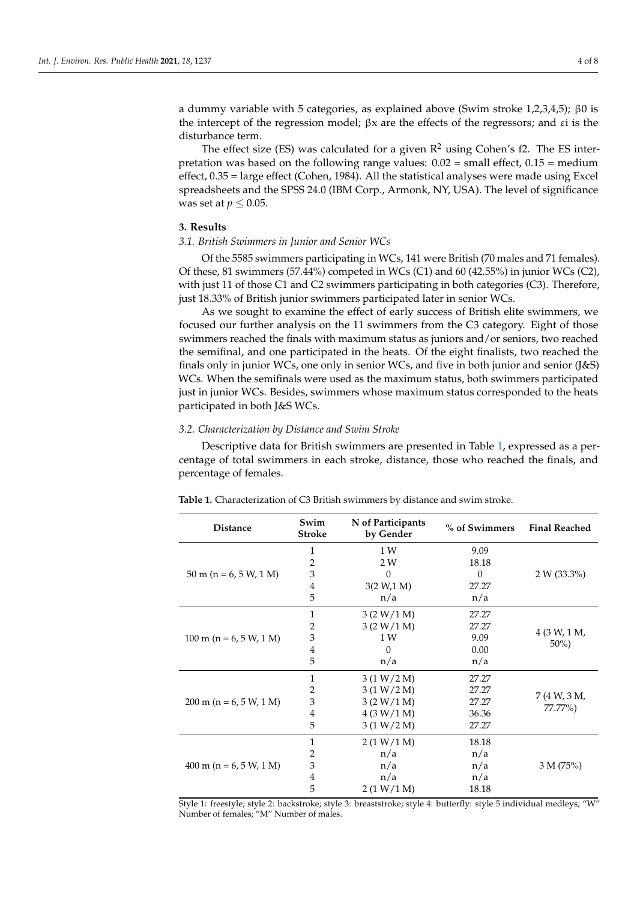a dummy variable with 5 categories, as explained above (Swim stroke 1,2,3,4,5); β0 is the intercept of the regression model;  $\beta x$  are the effects of the regressors; and  $\varepsilon i$  is the disturbance term.

The effect size (ES) was calculated for a given  $\mathbb{R}^2$  using Cohen's f2. The ES interpretation was based on the following range values:  $0.02$  = small effect,  $0.15$  = medium effect, 0.35 = large effect (Cohen, 1984). All the statistical analyses were made using Excel spreadsheets and the SPSS 24.0 (IBM Corp., Armonk, NY, USA). The level of significance was set at  $p \leq 0.05$ .

## **3. Results**

## *3.1. British Swimmers in Junior and Senior WCs*

Of the 5585 swimmers participating in WCs, 141 were British (70 males and 71 females). Of these, 81 swimmers (57.44%) competed in WCs (C1) and 60 (42.55%) in junior WCs (C2), with just 11 of those C1 and C2 swimmers participating in both categories (C3). Therefore, just 18.33% of British junior swimmers participated later in senior WCs.

As we sought to examine the effect of early success of British elite swimmers, we focused our further analysis on the 11 swimmers from the C3 category. Eight of those swimmers reached the finals with maximum status as juniors and/or seniors, two reached the semifinal, and one participated in the heats. Of the eight finalists, two reached the finals only in junior WCs, one only in senior WCs, and five in both junior and senior (J&S) WCs. When the semifinals were used as the maximum status, both swimmers participated just in junior WCs. Besides, swimmers whose maximum status corresponded to the heats participated in both J&S WCs.

# *3.2. Characterization by Distance and Swim Stroke*

Descriptive data for British swimmers are presented in Table [1,](#page-3-0) expressed as a percentage of total swimmers in each stroke, distance, those who reached the finals, and percentage of females.

| <b>Distance</b>                   | Swim<br><b>Stroke</b> | N of Participants<br>by Gender | % of Swimmers | <b>Final Reached</b>    |  |
|-----------------------------------|-----------------------|--------------------------------|---------------|-------------------------|--|
| $50 \text{ m}$ (n = 6, 5 W, 1 M)  | 1                     | 1W                             | 9.09          |                         |  |
|                                   | $\overline{2}$        | 2 W                            | 18.18         |                         |  |
|                                   | 3                     | $\theta$<br>$\theta$           |               | $2 W (33.3\%)$          |  |
|                                   | 4                     | 3(2 W, 1 M)                    | 27.27         |                         |  |
|                                   | 5                     | n/a<br>n/a                     |               |                         |  |
| $100 \text{ m}$ (n = 6, 5 W, 1 M) | 1                     | 3 (2 W/1 M)                    | 27.27         |                         |  |
|                                   | 2                     | 3 (2 W/1 M)                    | 27.27         |                         |  |
|                                   | 3                     | 1 W                            | 9.09          | 4 (3 W, 1 M,            |  |
|                                   | 4                     | $\Omega$                       | 0.00          | $50\%)$                 |  |
|                                   | 5                     | n/a                            | n/a           |                         |  |
| $200 \text{ m}$ (n = 6, 5 W, 1 M) | 1                     | 3(1 W/2 M)                     | 27.27         |                         |  |
|                                   | $\overline{2}$        | 3(1 W/2 M)                     | 27.27         |                         |  |
|                                   | 3                     | 3 (2 W/1 M)                    | 27.27         | 7 (4 W, 3 M,<br>77.77%) |  |
|                                   | $\overline{4}$        | 4(3 W/1 M)                     | 36.36         |                         |  |
|                                   | 5                     | 3(1 W/2 M)                     | 27.27         |                         |  |
| $400 \text{ m}$ (n = 6, 5 W, 1 M) | 1                     | 2(1 W/1 M)                     | 18.18         |                         |  |
|                                   | $\overline{2}$        | n/a                            | n/a           |                         |  |
|                                   | 3                     | n/a                            | n/a           | 3 M (75%)               |  |
|                                   | 4                     | n/a                            | n/a           |                         |  |
|                                   | 5                     | 2(1 W/1 M)                     | 18.18         |                         |  |

<span id="page-3-0"></span>**Table 1.** Characterization of C3 British swimmers by distance and swim stroke.

Style 1: freestyle; style 2: backstroke; style 3: breaststroke; style 4: butterfly: style 5 individual medleys; "W" Number of females; "M" Number of males.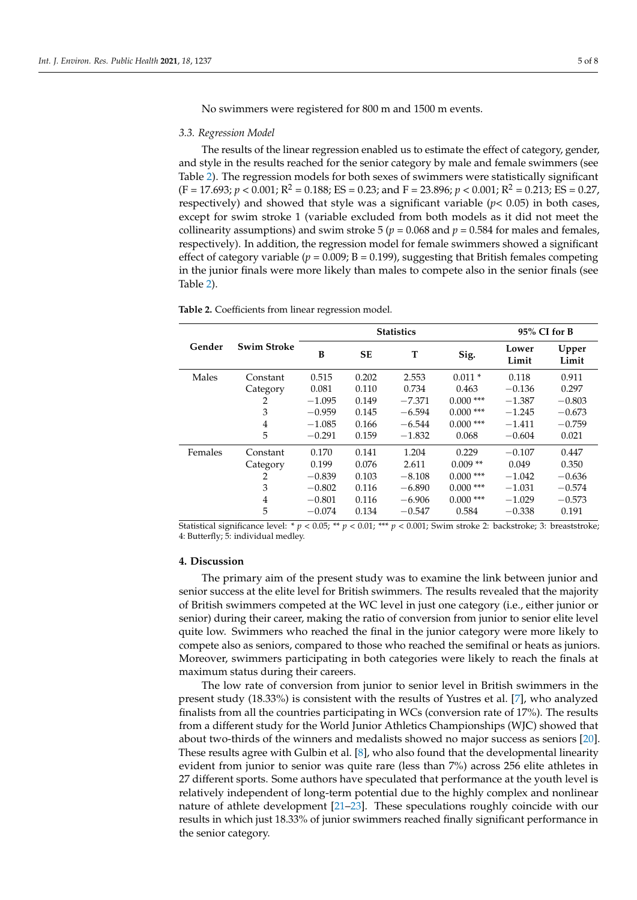No swimmers were registered for 800 m and 1500 m events.

#### *3.3. Regression Model*

The results of the linear regression enabled us to estimate the effect of category, gender, and style in the results reached for the senior category by male and female swimmers (see Table [2\)](#page-4-0). The regression models for both sexes of swimmers were statistically significant  $(F = 17.693; p < 0.001; R^2 = 0.188; ES = 0.23; and F = 23.896; p < 0.001; R^2 = 0.213; ES = 0.27,$ respectively) and showed that style was a significant variable (*p<* 0.05) in both cases, except for swim stroke 1 (variable excluded from both models as it did not meet the collinearity assumptions) and swim stroke  $5 (p = 0.068$  and  $p = 0.584$  for males and females, respectively). In addition, the regression model for female swimmers showed a significant effect of category variable  $(p = 0.009; B = 0.199)$ , suggesting that British females competing in the junior finals were more likely than males to compete also in the senior finals (see Table [2\)](#page-4-0).

|         | <b>Swim Stroke</b> | <b>Statistics</b> |           |          |             | 95% CI for B   |                |
|---------|--------------------|-------------------|-----------|----------|-------------|----------------|----------------|
| Gender  |                    | B                 | <b>SE</b> | T        | Sig.        | Lower<br>Limit | Upper<br>Limit |
| Males   | Constant           | 0.515             | 0.202     | 2.553    | $0.011*$    | 0.118          | 0.911          |
|         | Category           | 0.081             | 0.110     | 0.734    | 0.463       | $-0.136$       | 0.297          |
|         | 2                  | $-1.095$          | 0.149     | $-7.371$ | $0.000$ *** | $-1.387$       | $-0.803$       |
|         | 3                  | $-0.959$          | 0.145     | $-6.594$ | $0.000$ *** | $-1.245$       | $-0.673$       |
|         | 4                  | $-1.085$          | 0.166     | $-6.544$ | $0.000$ *** | $-1.411$       | $-0.759$       |
|         | 5                  | $-0.291$          | 0.159     | $-1.832$ | 0.068       | $-0.604$       | 0.021          |
| Females | Constant           | 0.170             | 0.141     | 1.204    | 0.229       | $-0.107$       | 0.447          |
|         | Category           | 0.199             | 0.076     | 2.611    | $0.009**$   | 0.049          | 0.350          |
|         | 2                  | $-0.839$          | 0.103     | $-8.108$ | $0.000$ *** | $-1.042$       | $-0.636$       |
|         | 3                  | $-0.802$          | 0.116     | $-6.890$ | $0.000$ *** | $-1.031$       | $-0.574$       |
|         | 4                  | $-0.801$          | 0.116     | $-6.906$ | $0.000$ *** | $-1.029$       | $-0.573$       |
|         | 5                  | $-0.074$          | 0.134     | $-0.547$ | 0.584       | $-0.338$       | 0.191          |

<span id="page-4-0"></span>**Table 2.** Coefficients from linear regression model.

Statistical significance level: \* *p* < 0.05; \*\* *p* < 0.01; \*\*\* *p* < 0.001; Swim stroke 2: backstroke; 3: breaststroke; 4: Butterfly; 5: individual medley.

## **4. Discussion**

The primary aim of the present study was to examine the link between junior and senior success at the elite level for British swimmers. The results revealed that the majority of British swimmers competed at the WC level in just one category (i.e., either junior or senior) during their career, making the ratio of conversion from junior to senior elite level quite low. Swimmers who reached the final in the junior category were more likely to compete also as seniors, compared to those who reached the semifinal or heats as juniors. Moreover, swimmers participating in both categories were likely to reach the finals at maximum status during their careers.

The low rate of conversion from junior to senior level in British swimmers in the present study (18.33%) is consistent with the results of Yustres et al. [\[7\]](#page-6-1), who analyzed finalists from all the countries participating in WCs (conversion rate of 17%). The results from a different study for the World Junior Athletics Championships (WJC) showed that about two-thirds of the winners and medalists showed no major success as seniors [\[20\]](#page-7-3). These results agree with Gulbin et al. [\[8\]](#page-6-2), who also found that the developmental linearity evident from junior to senior was quite rare (less than 7%) across 256 elite athletes in 27 different sports. Some authors have speculated that performance at the youth level is relatively independent of long-term potential due to the highly complex and nonlinear nature of athlete development [\[21–](#page-7-4)[23\]](#page-7-5). These speculations roughly coincide with our results in which just 18.33% of junior swimmers reached finally significant performance in the senior category.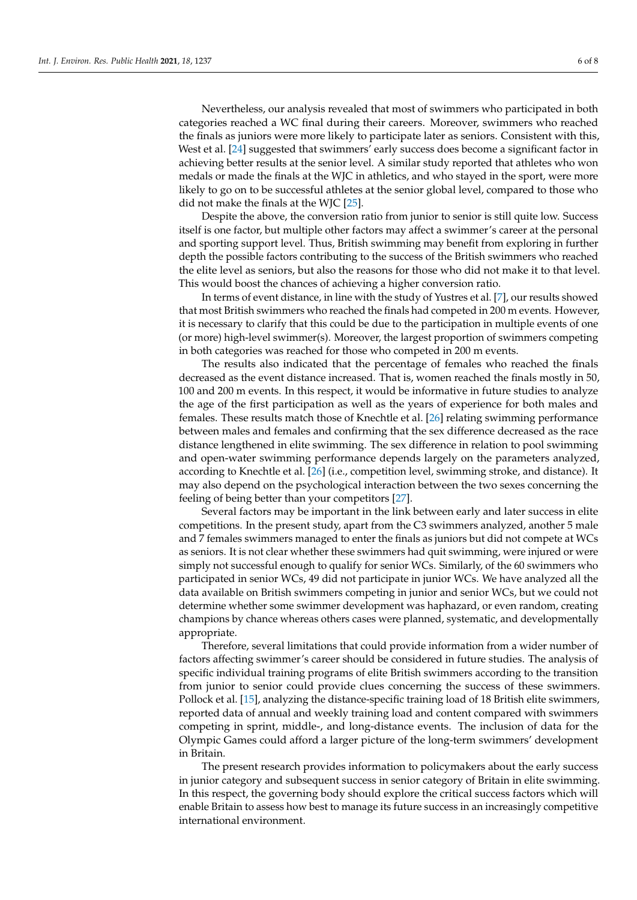Nevertheless, our analysis revealed that most of swimmers who participated in both categories reached a WC final during their careers. Moreover, swimmers who reached the finals as juniors were more likely to participate later as seniors. Consistent with this, West et al. [\[24\]](#page-7-6) suggested that swimmers' early success does become a significant factor in achieving better results at the senior level. A similar study reported that athletes who won medals or made the finals at the WJC in athletics, and who stayed in the sport, were more

Despite the above, the conversion ratio from junior to senior is still quite low. Success itself is one factor, but multiple other factors may affect a swimmer's career at the personal and sporting support level. Thus, British swimming may benefit from exploring in further depth the possible factors contributing to the success of the British swimmers who reached the elite level as seniors, but also the reasons for those who did not make it to that level. This would boost the chances of achieving a higher conversion ratio.

likely to go on to be successful athletes at the senior global level, compared to those who

did not make the finals at the WJC [\[25\]](#page-7-7).

In terms of event distance, in line with the study of Yustres et al. [\[7\]](#page-6-1), our results showed that most British swimmers who reached the finals had competed in 200 m events. However, it is necessary to clarify that this could be due to the participation in multiple events of one (or more) high-level swimmer(s). Moreover, the largest proportion of swimmers competing in both categories was reached for those who competed in 200 m events.

The results also indicated that the percentage of females who reached the finals decreased as the event distance increased. That is, women reached the finals mostly in 50, 100 and 200 m events. In this respect, it would be informative in future studies to analyze the age of the first participation as well as the years of experience for both males and females. These results match those of Knechtle et al. [\[26\]](#page-7-8) relating swimming performance between males and females and confirming that the sex difference decreased as the race distance lengthened in elite swimming. The sex difference in relation to pool swimming and open-water swimming performance depends largely on the parameters analyzed, according to Knechtle et al. [\[26\]](#page-7-8) (i.e., competition level, swimming stroke, and distance). It may also depend on the psychological interaction between the two sexes concerning the feeling of being better than your competitors [\[27\]](#page-7-9).

Several factors may be important in the link between early and later success in elite competitions. In the present study, apart from the C3 swimmers analyzed, another 5 male and 7 females swimmers managed to enter the finals as juniors but did not compete at WCs as seniors. It is not clear whether these swimmers had quit swimming, were injured or were simply not successful enough to qualify for senior WCs. Similarly, of the 60 swimmers who participated in senior WCs, 49 did not participate in junior WCs. We have analyzed all the data available on British swimmers competing in junior and senior WCs, but we could not determine whether some swimmer development was haphazard, or even random, creating champions by chance whereas others cases were planned, systematic, and developmentally appropriate.

Therefore, several limitations that could provide information from a wider number of factors affecting swimmer's career should be considered in future studies. The analysis of specific individual training programs of elite British swimmers according to the transition from junior to senior could provide clues concerning the success of these swimmers. Pollock et al. [\[15\]](#page-6-11), analyzing the distance-specific training load of 18 British elite swimmers, reported data of annual and weekly training load and content compared with swimmers competing in sprint, middle-, and long-distance events. The inclusion of data for the Olympic Games could afford a larger picture of the long-term swimmers' development in Britain.

The present research provides information to policymakers about the early success in junior category and subsequent success in senior category of Britain in elite swimming. In this respect, the governing body should explore the critical success factors which will enable Britain to assess how best to manage its future success in an increasingly competitive international environment.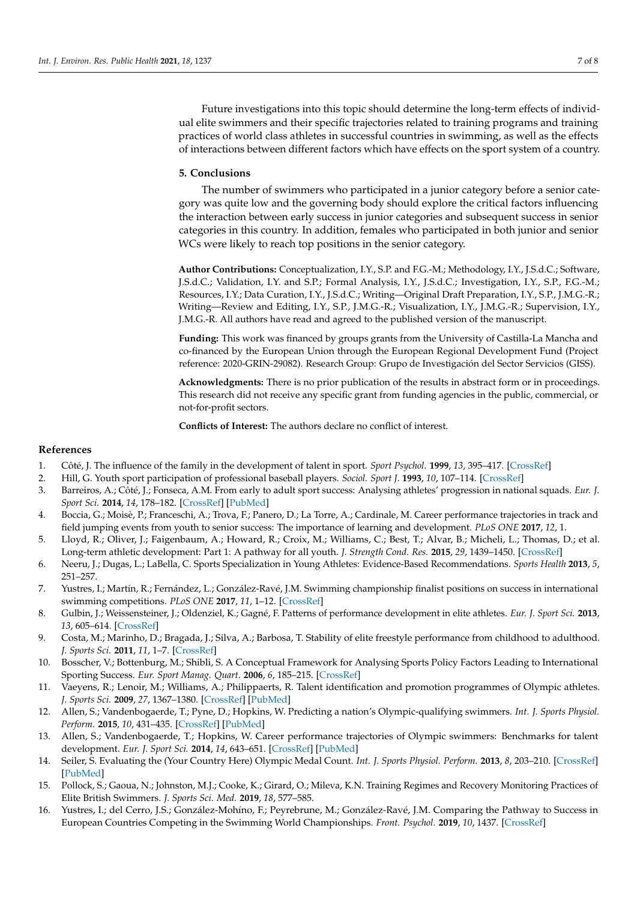Future investigations into this topic should determine the long-term effects of individual elite swimmers and their specific trajectories related to training programs and training practices of world class athletes in successful countries in swimming, as well as the effects of interactions between different factors which have effects on the sport system of a country.

## **5. Conclusions**

The number of swimmers who participated in a junior category before a senior category was quite low and the governing body should explore the critical factors influencing the interaction between early success in junior categories and subsequent success in senior categories in this country. In addition, females who participated in both junior and senior WCs were likely to reach top positions in the senior category.

**Author Contributions:** Conceptualization, I.Y., S.P. and F.G.-M.; Methodology, I.Y., J.S.d.C.; Software, J.S.d.C.; Validation, I.Y. and S.P.; Formal Analysis, I.Y., J.S.d.C.; Investigation, I.Y., S.P., F.G.-M.; Resources, I.Y.; Data Curation, I.Y., J.S.d.C.; Writing—Original Draft Preparation, I.Y., S.P., J.M.G.-R.; Writing—Review and Editing, I.Y., S.P., J.M.G.-R.; Visualization, I.Y., J.M.G.-R.; Supervision, I.Y., J.M.G.-R. All authors have read and agreed to the published version of the manuscript.

**Funding:** This work was financed by groups grants from the University of Castilla-La Mancha and co-financed by the European Union through the European Regional Development Fund (Project reference: 2020-GRIN-29082). Research Group: Grupo de Investigación del Sector Servicios (GISS).

**Acknowledgments:** There is no prior publication of the results in abstract form or in proceedings. This research did not receive any specific grant from funding agencies in the public, commercial, or not-for-profit sectors.

**Conflicts of Interest:** The authors declare no conflict of interest.

# **References**

- <span id="page-6-0"></span>1. Côté, J. The influence of the family in the development of talent in sport. *Sport Psychol.* **1999**, *13*, 395–417. [\[CrossRef\]](http://doi.org/10.1123/tsp.13.4.395)
- 2. Hill, G. Youth sport participation of professional baseball players. *Sociol. Sport J.* **1993**, *10*, 107–114. [\[CrossRef\]](http://doi.org/10.1123/ssj.10.1.107)
- <span id="page-6-4"></span>3. Barreiros, A.; Côté, J.; Fonseca, A.M. From early to adult sport success: Analysing athletes' progression in national squads. *Eur. J. Sport Sci.* **2014**, *14*, 178–182. [\[CrossRef\]](http://doi.org/10.1080/17461391.2012.671368) [\[PubMed\]](http://www.ncbi.nlm.nih.gov/pubmed/24444203)
- 4. Boccia, G.; Moisè, P.; Franceschi, A.; Trova, F.; Panero, D.; La Torre, A.; Cardinale, M. Career performance trajectories in track and field jumping events from youth to senior success: The importance of learning and development. *PLoS ONE* **2017**, *12*, 1.
- 5. Lloyd, R.; Oliver, J.; Faigenbaum, A.; Howard, R.; Croix, M.; Williams, C.; Best, T.; Alvar, B.; Micheli, L.; Thomas, D.; et al. Long-term athletic development: Part 1: A pathway for all youth. *J. Strength Cond. Res.* **2015**, *29*, 1439–1450. [\[CrossRef\]](http://doi.org/10.1519/JSC.0000000000000756)
- <span id="page-6-9"></span>6. Neeru, J.; Dugas, L.; LaBella, C. Sports Specialization in Young Athletes: Evidence-Based Recommendations. *Sports Health* **2013**, *5*, 251–257.
- <span id="page-6-1"></span>7. Yustres, I.; Martín, R.; Fernández, L.; González-Ravé, J.M. Swimming championship finalist positions on success in international swimming competitions. *PLoS ONE* **2017**, *11*, 1–12. [\[CrossRef\]](http://doi.org/10.1371/journal.pone.0187462)
- <span id="page-6-2"></span>8. Gulbin, J.; Weissensteiner, J.; Oldenziel, K.; Gagné, F. Patterns of performance development in elite athletes. *Eur. J. Sport Sci.* **2013**, *13*, 605–614. [\[CrossRef\]](http://doi.org/10.1080/17461391.2012.756542)
- <span id="page-6-3"></span>9. Costa, M.; Marinho, D.; Bragada, J.; Silva, A.; Barbosa, T. Stability of elite freestyle performance from childhood to adulthood. *J. Sports Sci.* **2011**, *11*, 1–7. [\[CrossRef\]](http://doi.org/10.1080/02640414.2011.587196)
- <span id="page-6-5"></span>10. Bosscher, V.; Bottenburg, M.; Shibli, S. A Conceptual Framework for Analysing Sports Policy Factors Leading to International Sporting Success. *Eur. Sport Manag. Quart.* **2006**, *6*, 185–215. [\[CrossRef\]](http://doi.org/10.1080/16184740600955087)
- <span id="page-6-6"></span>11. Vaeyens, R.; Lenoir, M.; Williams, A.; Philippaerts, R. Talent identification and promotion programmes of Olympic athletes. *J. Sports Sci.* **2009**, *27*, 1367–1380. [\[CrossRef\]](http://doi.org/10.1080/02640410903110974) [\[PubMed\]](http://www.ncbi.nlm.nih.gov/pubmed/19787538)
- <span id="page-6-7"></span>12. Allen, S.; Vandenbogaerde, T.; Pyne, D.; Hopkins, W. Predicting a nation's Olympic-qualifying swimmers. *Int. J. Sports Physiol. Perform.* **2015**, *10*, 431–435. [\[CrossRef\]](http://doi.org/10.1123/ijspp.2014-0314) [\[PubMed\]](http://www.ncbi.nlm.nih.gov/pubmed/25365394)
- <span id="page-6-8"></span>13. Allen, S.; Vandenbogaerde, T.; Hopkins, W. Career performance trajectories of Olympic swimmers: Benchmarks for talent development. *Eur. J. Sport Sci.* **2014**, *14*, 643–651. [\[CrossRef\]](http://doi.org/10.1080/17461391.2014.893020) [\[PubMed\]](http://www.ncbi.nlm.nih.gov/pubmed/24597644)
- <span id="page-6-10"></span>14. Seiler, S. Evaluating the (Your Country Here) Olympic Medal Count. *Int. J. Sports Physiol. Perform.* **2013**, *8*, 203–210. [\[CrossRef\]](http://doi.org/10.1123/ijspp.8.2.203) [\[PubMed\]](http://www.ncbi.nlm.nih.gov/pubmed/23428493)
- <span id="page-6-11"></span>15. Pollock, S.; Gaoua, N.; Johnston, M.J.; Cooke, K.; Girard, O.; Mileva, K.N. Training Regimes and Recovery Monitoring Practices of Elite British Swimmers. *J. Sports Sci. Med.* **2019**, *18*, 577–585.
- <span id="page-6-12"></span>16. Yustres, I.; del Cerro, J.S.; González-Mohíno, F.; Peyrebrune, M.; González-Ravé, J.M. Comparing the Pathway to Success in European Countries Competing in the Swimming World Championships. *Front. Psychol.* **2019**, *10*, 1437. [\[CrossRef\]](http://doi.org/10.3389/fpsyg.2019.01437)